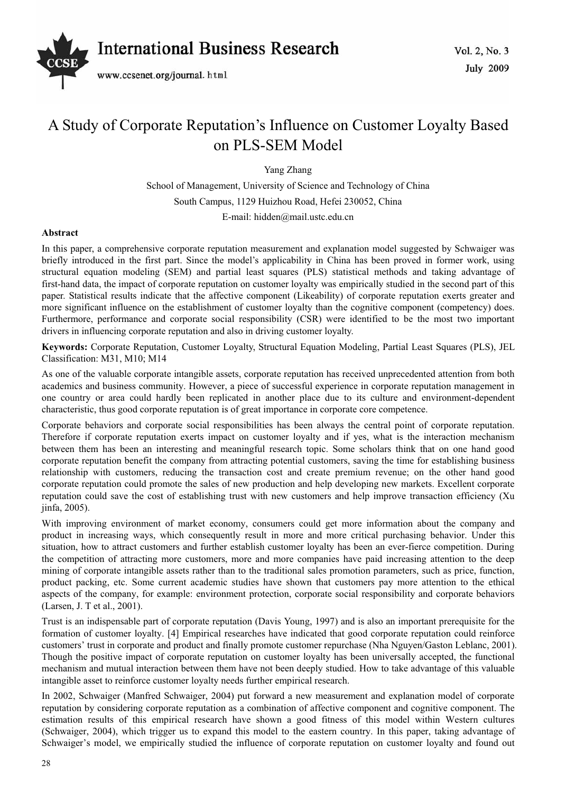

# A Study of Corporate Reputation's Influence on Customer Loyalty Based on PLS-SEM Model

Yang Zhang

School of Management, University of Science and Technology of China South Campus, 1129 Huizhou Road, Hefei 230052, China E-mail: hidden@mail.ustc.edu.cn

# **Abstract**

In this paper, a comprehensive corporate reputation measurement and explanation model suggested by Schwaiger was briefly introduced in the first part. Since the model's applicability in China has been proved in former work, using structural equation modeling (SEM) and partial least squares (PLS) statistical methods and taking advantage of first-hand data, the impact of corporate reputation on customer loyalty was empirically studied in the second part of this paper. Statistical results indicate that the affective component (Likeability) of corporate reputation exerts greater and more significant influence on the establishment of customer loyalty than the cognitive component (competency) does. Furthermore, performance and corporate social responsibility (CSR) were identified to be the most two important drivers in influencing corporate reputation and also in driving customer loyalty.

**Keywords:** Corporate Reputation, Customer Loyalty, Structural Equation Modeling, Partial Least Squares (PLS), JEL Classification: M31, M10; M14

As one of the valuable corporate intangible assets, corporate reputation has received unprecedented attention from both academics and business community. However, a piece of successful experience in corporate reputation management in one country or area could hardly been replicated in another place due to its culture and environment-dependent characteristic, thus good corporate reputation is of great importance in corporate core competence.

Corporate behaviors and corporate social responsibilities has been always the central point of corporate reputation. Therefore if corporate reputation exerts impact on customer loyalty and if yes, what is the interaction mechanism between them has been an interesting and meaningful research topic. Some scholars think that on one hand good corporate reputation benefit the company from attracting potential customers, saving the time for establishing business relationship with customers, reducing the transaction cost and create premium revenue; on the other hand good corporate reputation could promote the sales of new production and help developing new markets. Excellent corporate reputation could save the cost of establishing trust with new customers and help improve transaction efficiency (Xu jinfa, 2005).

With improving environment of market economy, consumers could get more information about the company and product in increasing ways, which consequently result in more and more critical purchasing behavior. Under this situation, how to attract customers and further establish customer loyalty has been an ever-fierce competition. During the competition of attracting more customers, more and more companies have paid increasing attention to the deep mining of corporate intangible assets rather than to the traditional sales promotion parameters, such as price, function, product packing, etc. Some current academic studies have shown that customers pay more attention to the ethical aspects of the company, for example: environment protection, corporate social responsibility and corporate behaviors (Larsen, J. T et al., 2001).

Trust is an indispensable part of corporate reputation (Davis Young, 1997) and is also an important prerequisite for the formation of customer loyalty. [4] Empirical researches have indicated that good corporate reputation could reinforce customers' trust in corporate and product and finally promote customer repurchase (Nha Nguyen/Gaston Leblanc, 2001). Though the positive impact of corporate reputation on customer loyalty has been universally accepted, the functional mechanism and mutual interaction between them have not been deeply studied. How to take advantage of this valuable intangible asset to reinforce customer loyalty needs further empirical research.

In 2002, Schwaiger (Manfred Schwaiger, 2004) put forward a new measurement and explanation model of corporate reputation by considering corporate reputation as a combination of affective component and cognitive component. The estimation results of this empirical research have shown a good fitness of this model within Western cultures (Schwaiger, 2004), which trigger us to expand this model to the eastern country. In this paper, taking advantage of Schwaiger's model, we empirically studied the influence of corporate reputation on customer loyalty and found out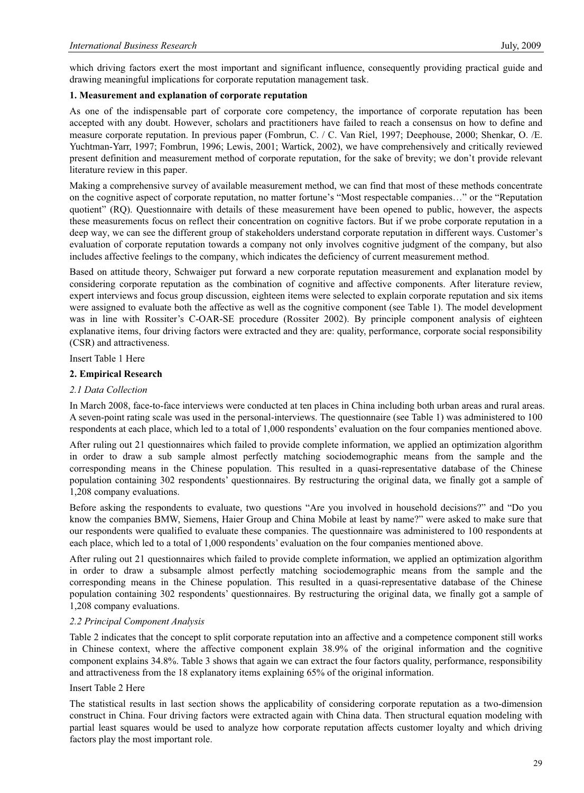# **1. Measurement and explanation of corporate reputation**

As one of the indispensable part of corporate core competency, the importance of corporate reputation has been accepted with any doubt. However, scholars and practitioners have failed to reach a consensus on how to define and measure corporate reputation. In previous paper (Fombrun, C. / C. Van Riel, 1997; Deephouse, 2000; Shenkar, O. /E. Yuchtman-Yarr, 1997; Fombrun, 1996; Lewis, 2001; Wartick, 2002), we have comprehensively and critically reviewed present definition and measurement method of corporate reputation, for the sake of brevity; we don't provide relevant literature review in this paper.

Making a comprehensive survey of available measurement method, we can find that most of these methods concentrate on the cognitive aspect of corporate reputation, no matter fortune's "Most respectable companies…" or the "Reputation quotient" (RQ). Questionnaire with details of these measurement have been opened to public, however, the aspects these measurements focus on reflect their concentration on cognitive factors. But if we probe corporate reputation in a deep way, we can see the different group of stakeholders understand corporate reputation in different ways. Customer's evaluation of corporate reputation towards a company not only involves cognitive judgment of the company, but also includes affective feelings to the company, which indicates the deficiency of current measurement method.

Based on attitude theory, Schwaiger put forward a new corporate reputation measurement and explanation model by considering corporate reputation as the combination of cognitive and affective components. After literature review, expert interviews and focus group discussion, eighteen items were selected to explain corporate reputation and six items were assigned to evaluate both the affective as well as the cognitive component (see Table 1). The model development was in line with Rossiter's C-OAR-SE procedure (Rossiter 2002). By principle component analysis of eighteen explanative items, four driving factors were extracted and they are: quality, performance, corporate social responsibility (CSR) and attractiveness.

# Insert Table 1 Here

# **2. Empirical Research**

# *2.1 Data Collection*

In March 2008, face-to-face interviews were conducted at ten places in China including both urban areas and rural areas. A seven-point rating scale was used in the personal-interviews. The questionnaire (see Table 1) was administered to 100 respondents at each place, which led to a total of 1,000 respondents' evaluation on the four companies mentioned above.

After ruling out 21 questionnaires which failed to provide complete information, we applied an optimization algorithm in order to draw a sub sample almost perfectly matching sociodemographic means from the sample and the corresponding means in the Chinese population. This resulted in a quasi-representative database of the Chinese population containing 302 respondents' questionnaires. By restructuring the original data, we finally got a sample of 1,208 company evaluations.

Before asking the respondents to evaluate, two questions "Are you involved in household decisions?" and "Do you know the companies BMW, Siemens, Haier Group and China Mobile at least by name?" were asked to make sure that our respondents were qualified to evaluate these companies. The questionnaire was administered to 100 respondents at each place, which led to a total of 1,000 respondents' evaluation on the four companies mentioned above.

After ruling out 21 questionnaires which failed to provide complete information, we applied an optimization algorithm in order to draw a subsample almost perfectly matching sociodemographic means from the sample and the corresponding means in the Chinese population. This resulted in a quasi-representative database of the Chinese population containing 302 respondents' questionnaires. By restructuring the original data, we finally got a sample of 1,208 company evaluations.

# *2.2 Principal Component Analysis*

Table 2 indicates that the concept to split corporate reputation into an affective and a competence component still works in Chinese context, where the affective component explain 38.9% of the original information and the cognitive component explains 34.8%. Table 3 shows that again we can extract the four factors quality, performance, responsibility and attractiveness from the 18 explanatory items explaining 65% of the original information.

# Insert Table 2 Here

The statistical results in last section shows the applicability of considering corporate reputation as a two-dimension construct in China. Four driving factors were extracted again with China data. Then structural equation modeling with partial least squares would be used to analyze how corporate reputation affects customer loyalty and which driving factors play the most important role.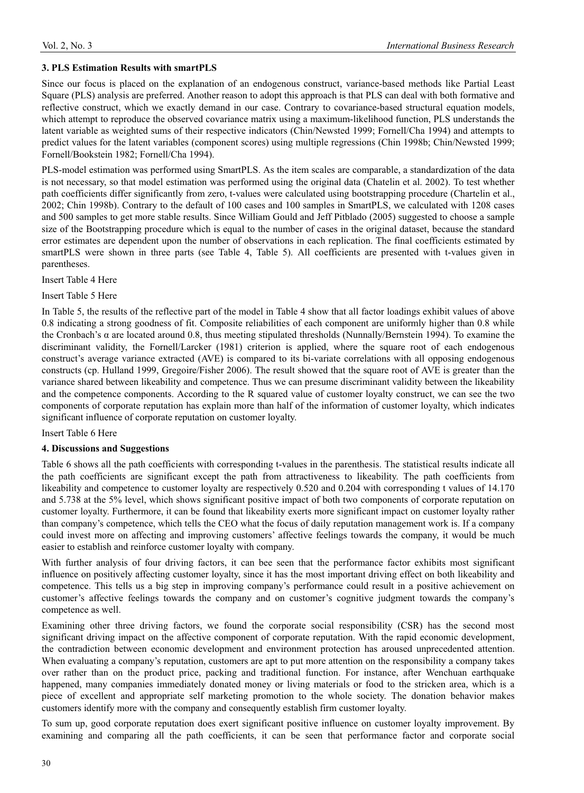# **3. PLS Estimation Results with smartPLS**

Since our focus is placed on the explanation of an endogenous construct, variance-based methods like Partial Least Square (PLS) analysis are preferred. Another reason to adopt this approach is that PLS can deal with both formative and reflective construct, which we exactly demand in our case. Contrary to covariance-based structural equation models, which attempt to reproduce the observed covariance matrix using a maximum-likelihood function, PLS understands the latent variable as weighted sums of their respective indicators (Chin/Newsted 1999; Fornell/Cha 1994) and attempts to predict values for the latent variables (component scores) using multiple regressions (Chin 1998b; Chin/Newsted 1999; Fornell/Bookstein 1982; Fornell/Cha 1994).

PLS-model estimation was performed using SmartPLS. As the item scales are comparable, a standardization of the data is not necessary, so that model estimation was performed using the original data (Chatelin et al. 2002). To test whether path coefficients differ significantly from zero, t-values were calculated using bootstrapping procedure (Chartelin et al., 2002; Chin 1998b). Contrary to the default of 100 cases and 100 samples in SmartPLS, we calculated with 1208 cases and 500 samples to get more stable results. Since William Gould and Jeff Pitblado (2005) suggested to choose a sample size of the Bootstrapping procedure which is equal to the number of cases in the original dataset, because the standard error estimates are dependent upon the number of observations in each replication. The final coefficients estimated by smartPLS were shown in three parts (see Table 4, Table 5). All coefficients are presented with t-values given in parentheses.

Insert Table 4 Here

#### Insert Table 5 Here

In Table 5, the results of the reflective part of the model in Table 4 show that all factor loadings exhibit values of above 0.8 indicating a strong goodness of fit. Composite reliabilities of each component are uniformly higher than 0.8 while the Cronbach's  $\alpha$  are located around 0.8, thus meeting stipulated thresholds (Nunnally/Bernstein 1994). To examine the discriminant validity, the Fornell/Larcker (1981) criterion is applied, where the square root of each endogenous construct's average variance extracted (AVE) is compared to its bi-variate correlations with all opposing endogenous constructs (cp. Hulland 1999, Gregoire/Fisher 2006). The result showed that the square root of AVE is greater than the variance shared between likeability and competence. Thus we can presume discriminant validity between the likeability and the competence components. According to the R squared value of customer loyalty construct, we can see the two components of corporate reputation has explain more than half of the information of customer loyalty, which indicates significant influence of corporate reputation on customer loyalty.

#### Insert Table 6 Here

#### **4. Discussions and Suggestions**

Table 6 shows all the path coefficients with corresponding t-values in the parenthesis. The statistical results indicate all the path coefficients are significant except the path from attractiveness to likeability. The path coefficients from likeability and competence to customer loyalty are respectively 0.520 and 0.204 with corresponding t values of 14.170 and 5.738 at the 5% level, which shows significant positive impact of both two components of corporate reputation on customer loyalty. Furthermore, it can be found that likeability exerts more significant impact on customer loyalty rather than company's competence, which tells the CEO what the focus of daily reputation management work is. If a company could invest more on affecting and improving customers' affective feelings towards the company, it would be much easier to establish and reinforce customer loyalty with company.

With further analysis of four driving factors, it can bee seen that the performance factor exhibits most significant influence on positively affecting customer loyalty, since it has the most important driving effect on both likeability and competence. This tells us a big step in improving company's performance could result in a positive achievement on customer's affective feelings towards the company and on customer's cognitive judgment towards the company's competence as well.

Examining other three driving factors, we found the corporate social responsibility (CSR) has the second most significant driving impact on the affective component of corporate reputation. With the rapid economic development, the contradiction between economic development and environment protection has aroused unprecedented attention. When evaluating a company's reputation, customers are apt to put more attention on the responsibility a company takes over rather than on the product price, packing and traditional function. For instance, after Wenchuan earthquake happened, many companies immediately donated money or living materials or food to the stricken area, which is a piece of excellent and appropriate self marketing promotion to the whole society. The donation behavior makes customers identify more with the company and consequently establish firm customer loyalty.

To sum up, good corporate reputation does exert significant positive influence on customer loyalty improvement. By examining and comparing all the path coefficients, it can be seen that performance factor and corporate social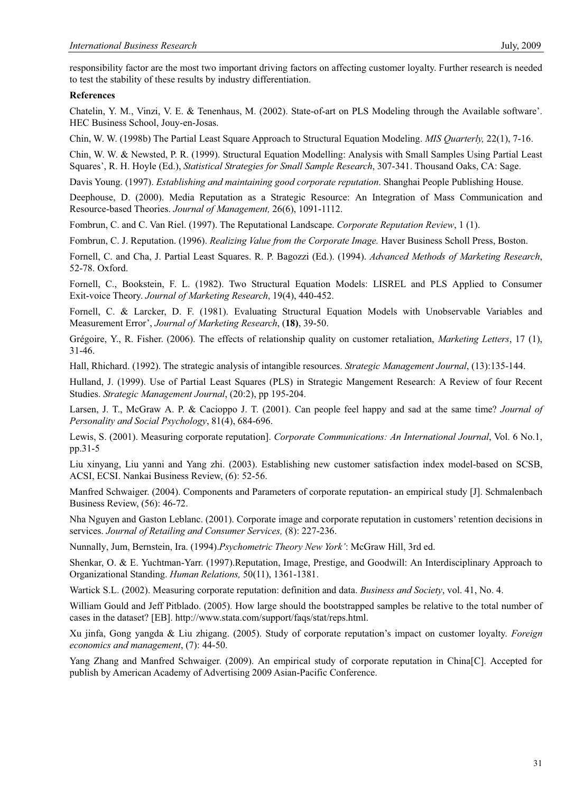responsibility factor are the most two important driving factors on affecting customer loyalty. Further research is needed to test the stability of these results by industry differentiation.

#### **References**

Chatelin, Y. M., Vinzi, V. E. & Tenenhaus, M. (2002). State-of-art on PLS Modeling through the Available software'. HEC Business School, Jouy-en-Josas.

Chin, W. W. (1998b) The Partial Least Square Approach to Structural Equation Modeling. *MIS Quarterly,* 22(1), 7-16.

Chin, W. W. & Newsted, P. R. (1999). Structural Equation Modelling: Analysis with Small Samples Using Partial Least Squares', R. H. Hoyle (Ed.), *Statistical Strategies for Small Sample Research*, 307-341. Thousand Oaks, CA: Sage.

Davis Young. (1997). *Establishing and maintaining good corporate reputation*. Shanghai People Publishing House.

Deephouse, D. (2000). Media Reputation as a Strategic Resource: An Integration of Mass Communication and Resource-based Theories. *Journal of Management,* 26(6), 1091-1112.

Fombrun, C. and C. Van Riel. (1997). The Reputational Landscape. *Corporate Reputation Review*, 1 (1).

Fombrun, C. J. Reputation. (1996). *Realizing Value from the Corporate Image.* Haver Business Scholl Press, Boston.

Fornell, C. and Cha, J. Partial Least Squares. R. P. Bagozzi (Ed.). (1994). *Advanced Methods of Marketing Research*, 52-78. Oxford.

Fornell, C., Bookstein, F. L. (1982). Two Structural Equation Models: LISREL and PLS Applied to Consumer Exit-voice Theory. *Journal of Marketing Research*, 19(4), 440-452.

Fornell, C. & Larcker, D. F. (1981). Evaluating Structural Equation Models with Unobservable Variables and Measurement Error', *Journal of Marketing Research*, (**18)**, 39-50.

Grégoire, Y., R. Fisher. (2006). The effects of relationship quality on customer retaliation, *Marketing Letters*, 17 (1), 31-46.

Hall, Rhichard. (1992). The strategic analysis of intangible resources. *Strategic Management Journal*, (13):135-144.

Hulland, J. (1999). Use of Partial Least Squares (PLS) in Strategic Mangement Research: A Review of four Recent Studies. *Strategic Management Journal*, (20:2), pp 195-204.

Larsen, J. T., McGraw A. P. & Cacioppo J. T. (2001). Can people feel happy and sad at the same time? *Journal of Personality and Social Psychology*, 81(4), 684-696.

Lewis, S. (2001). Measuring corporate reputation]. *Corporate Communications: An International Journal*, Vol. 6 No.1, pp.31-5

Liu xinyang, Liu yanni and Yang zhi. (2003). Establishing new customer satisfaction index model-based on SCSB, ACSI, ECSI. Nankai Business Review, (6): 52-56.

Manfred Schwaiger. (2004). Components and Parameters of corporate reputation- an empirical study [J]. Schmalenbach Business Review, (56): 46-72.

Nha Nguyen and Gaston Leblanc. (2001). Corporate image and corporate reputation in customers' retention decisions in services. *Journal of Retailing and Consumer Services,* (8): 227-236.

Nunnally, Jum, Bernstein, Ira. (1994).*Psychometric Theory New York'*: McGraw Hill, 3rd ed.

Shenkar, O. & E. Yuchtman-Yarr. (1997).Reputation, Image, Prestige, and Goodwill: An Interdisciplinary Approach to Organizational Standing. *Human Relations,* 50(11), 1361-1381.

Wartick S.L. (2002). Measuring corporate reputation: definition and data. *Business and Society*, vol. 41, No. 4.

William Gould and Jeff Pitblado. (2005). How large should the bootstrapped samples be relative to the total number of cases in the dataset? [EB]. http://www.stata.com/support/faqs/stat/reps.html.

Xu jinfa, Gong yangda & Liu zhigang. (2005). Study of corporate reputation's impact on customer loyalty. *Foreign economics and management*, (7): 44-50.

Yang Zhang and Manfred Schwaiger. (2009). An empirical study of corporate reputation in China[C]. Accepted for publish by American Academy of Advertising 2009 Asian-Pacific Conference.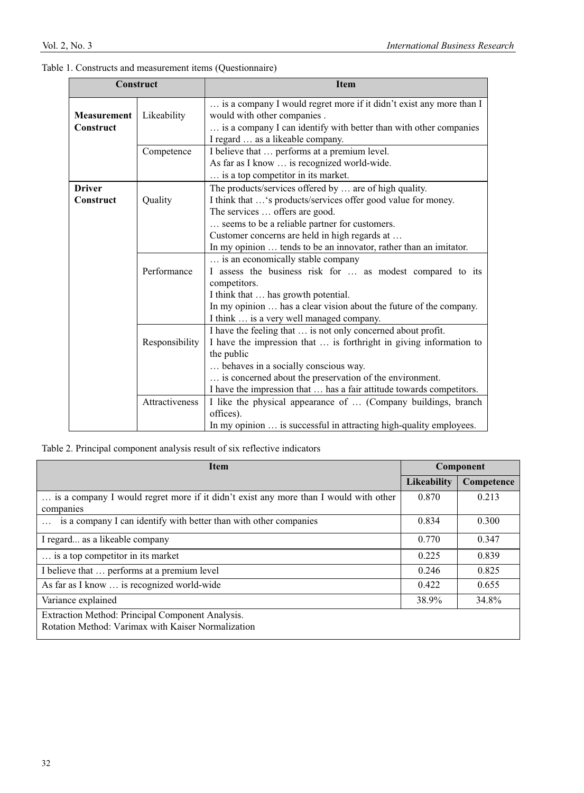| Construct                              |                                  | <b>Item</b>                                                                                                                                                                                                                                                                                                                                                                                  |  |  |
|----------------------------------------|----------------------------------|----------------------------------------------------------------------------------------------------------------------------------------------------------------------------------------------------------------------------------------------------------------------------------------------------------------------------------------------------------------------------------------------|--|--|
| <b>Measurement</b><br><b>Construct</b> | Likeability                      | is a company I would regret more if it didn't exist any more than I<br>would with other companies.<br>is a company I can identify with better than with other companies<br>I regard  as a likeable company.                                                                                                                                                                                  |  |  |
|                                        | Competence                       | I believe that  performs at a premium level.<br>As far as I know  is recognized world-wide.<br>is a top competitor in its market.                                                                                                                                                                                                                                                            |  |  |
| <b>Driver</b><br>Construct             | Quality                          | The products/services offered by  are of high quality.<br>I think that 's products/services offer good value for money.<br>The services  offers are good.<br>seems to be a reliable partner for customers.<br>Customer concerns are held in high regards at<br>In my opinion  tends to be an innovator, rather than an imitator.                                                             |  |  |
|                                        | Performance                      | is an economically stable company<br>I assess the business risk for  as modest compared to its<br>competitors.<br>I think that  has growth potential.<br>In my opinion  has a clear vision about the future of the company.<br>I think  is a very well managed company.                                                                                                                      |  |  |
|                                        | Responsibility<br>Attractiveness | I have the feeling that  is not only concerned about profit.<br>I have the impression that  is forthright in giving information to<br>the public<br>behaves in a socially conscious way.<br>is concerned about the preservation of the environment.<br>I have the impression that  has a fair attitude towards competitors.<br>I like the physical appearance of  (Company buildings, branch |  |  |
|                                        |                                  | offices).<br>In my opinion  is successful in attracting high-quality employees.                                                                                                                                                                                                                                                                                                              |  |  |

| Table 1. Constructs and measurement items (Questionnaire) |  |  |
|-----------------------------------------------------------|--|--|
|-----------------------------------------------------------|--|--|

|  | Table 2. Principal component analysis result of six reflective indicators |  |  |  |  |  |
|--|---------------------------------------------------------------------------|--|--|--|--|--|
|--|---------------------------------------------------------------------------|--|--|--|--|--|

| <b>Item</b>                                                                                            | Component   |            |  |
|--------------------------------------------------------------------------------------------------------|-------------|------------|--|
|                                                                                                        | Likeability | Competence |  |
| is a company I would regret more if it didn't exist any more than I would with other<br>companies      | 0.870       | 0.213      |  |
| is a company I can identify with better than with other companies                                      | 0.834       | 0.300      |  |
| I regard as a likeable company                                                                         | 0.770       | 0.347      |  |
| is a top competitor in its market                                                                      | 0.225       | 0.839      |  |
| I believe that  performs at a premium level                                                            | 0.246       | 0.825      |  |
| As far as I know  is recognized world-wide                                                             | 0.422       | 0.655      |  |
| Variance explained                                                                                     | 38.9%       | 34.8%      |  |
| Extraction Method: Principal Component Analysis.<br>Rotation Method: Varimax with Kaiser Normalization |             |            |  |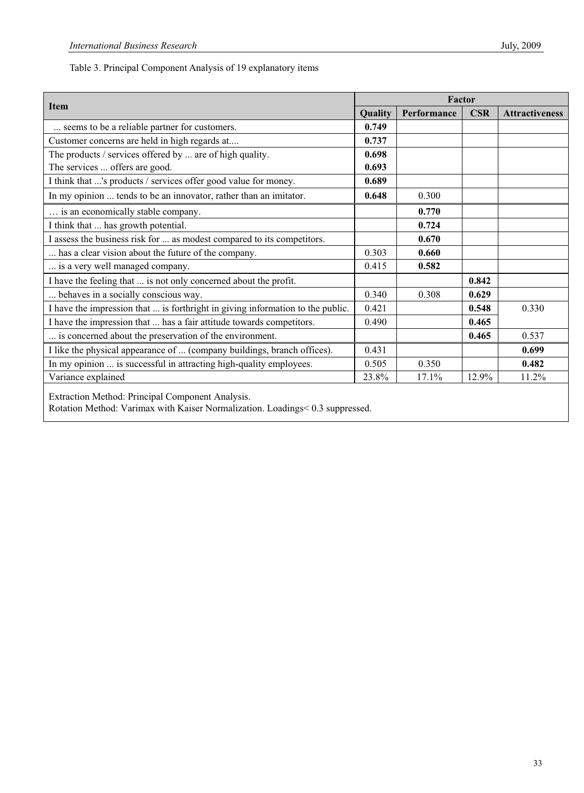# Table 3. Principal Component Analysis of 19 explanatory items

|                                                                                                                                                                                       |         | Factor      |            |                       |  |  |
|---------------------------------------------------------------------------------------------------------------------------------------------------------------------------------------|---------|-------------|------------|-----------------------|--|--|
| <b>Item</b>                                                                                                                                                                           | Quality | Performance | <b>CSR</b> | <b>Attractiveness</b> |  |  |
| seems to be a reliable partner for customers.                                                                                                                                         | 0.749   |             |            |                       |  |  |
| Customer concerns are held in high regards at                                                                                                                                         | 0.737   |             |            |                       |  |  |
| The products / services offered by  are of high quality.                                                                                                                              | 0.698   |             |            |                       |  |  |
| The services  offers are good.                                                                                                                                                        | 0.693   |             |            |                       |  |  |
| I think that 's products / services offer good value for money.                                                                                                                       | 0.689   |             |            |                       |  |  |
| In my opinion  tends to be an innovator, rather than an imitator.                                                                                                                     | 0.648   | 0.300       |            |                       |  |  |
| is an economically stable company.                                                                                                                                                    |         | 0.770       |            |                       |  |  |
| I think that  has growth potential.                                                                                                                                                   |         | 0.724       |            |                       |  |  |
| I assess the business risk for  as modest compared to its competitors.                                                                                                                |         | 0.670       |            |                       |  |  |
| has a clear vision about the future of the company.                                                                                                                                   | 0.303   | 0.660       |            |                       |  |  |
| is a very well managed company.                                                                                                                                                       | 0.415   | 0.582       |            |                       |  |  |
| I have the feeling that  is not only concerned about the profit.                                                                                                                      |         |             | 0.842      |                       |  |  |
| behaves in a socially conscious way.                                                                                                                                                  | 0.340   | 0.308       | 0.629      |                       |  |  |
| I have the impression that  is forthright in giving information to the public.                                                                                                        | 0.421   |             | 0.548      | 0.330                 |  |  |
| I have the impression that  has a fair attitude towards competitors.                                                                                                                  | 0.490   |             | 0.465      |                       |  |  |
| is concerned about the preservation of the environment.                                                                                                                               |         |             | 0.465      | 0.537                 |  |  |
| I like the physical appearance of  (company buildings, branch offices).                                                                                                               | 0.431   |             |            | 0.699                 |  |  |
| In my opinion  is successful in attracting high-quality employees.                                                                                                                    | 0.505   | 0.350       |            | 0.482                 |  |  |
| Variance explained                                                                                                                                                                    | 23.8%   | 17.1%       | 12.9%      | 11.2%                 |  |  |
| Extraction Method: Principal Component Analysis.<br>$D_{\text{stabilon}}$ Mathed, <i>Manimum with Values Manualization</i> $L_{\text{c}}$ and $\mu_{\text{c}}$ $\geq$ 0.2 symmetrical |         |             |            |                       |  |  |

Rotation Method: Varimax with Kaiser Normalization. Loadings< 0.3 suppressed.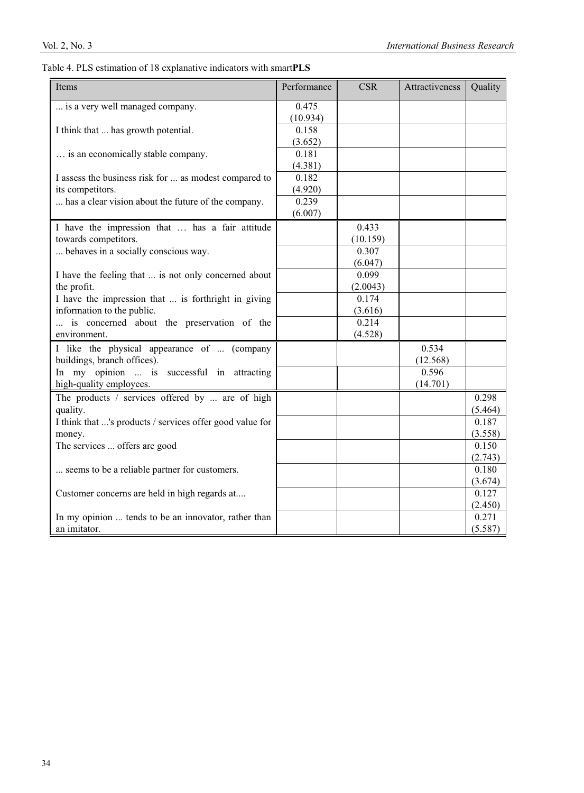|  |  |  |  |  | Table 4. PLS estimation of 18 explanative indicators with smartPLS |
|--|--|--|--|--|--------------------------------------------------------------------|
|--|--|--|--|--|--------------------------------------------------------------------|

| Items                                                    | Performance | <b>CSR</b> | Attractiveness | Quality |
|----------------------------------------------------------|-------------|------------|----------------|---------|
| is a very well managed company.                          | 0.475       |            |                |         |
|                                                          | (10.934)    |            |                |         |
| I think that  has growth potential.                      | 0.158       |            |                |         |
|                                                          | (3.652)     |            |                |         |
| is an economically stable company.                       | 0.181       |            |                |         |
|                                                          | (4.381)     |            |                |         |
| I assess the business risk for  as modest compared to    | 0.182       |            |                |         |
| its competitors.                                         | (4.920)     |            |                |         |
| has a clear vision about the future of the company.      | 0.239       |            |                |         |
|                                                          | (6.007)     |            |                |         |
| I have the impression that  has a fair attitude          |             | 0.433      |                |         |
| towards competitors.                                     |             | (10.159)   |                |         |
| behaves in a socially conscious way.                     |             | 0.307      |                |         |
|                                                          |             | (6.047)    |                |         |
| I have the feeling that  is not only concerned about     |             | 0.099      |                |         |
| the profit.                                              |             | (2.0043)   |                |         |
| I have the impression that  is forthright in giving      |             | 0.174      |                |         |
| information to the public.                               |             | (3.616)    |                |         |
| is concerned about the preservation of the               |             | 0.214      |                |         |
| environment.                                             |             | (4.528)    |                |         |
| I like the physical appearance of  (company              |             |            | 0.534          |         |
| buildings, branch offices).                              |             |            | (12.568)       |         |
| In my opinion  is successful in attracting               |             |            | 0.596          |         |
| high-quality employees.                                  |             |            | (14.701)       |         |
| The products / services offered by  are of high          |             |            |                | 0.298   |
| quality.                                                 |             |            |                | (5.464) |
| I think that 's products / services offer good value for |             |            |                | 0.187   |
| money.                                                   |             |            |                | (3.558) |
| The services  offers are good                            |             |            |                | 0.150   |
|                                                          |             |            |                | (2.743) |
| seems to be a reliable partner for customers.            |             |            |                | 0.180   |
|                                                          |             |            |                | (3.674) |
| Customer concerns are held in high regards at            |             |            |                | 0.127   |
|                                                          |             |            |                | (2.450) |
| In my opinion  tends to be an innovator, rather than     |             |            |                | 0.271   |
| an imitator.                                             |             |            |                | (5.587) |